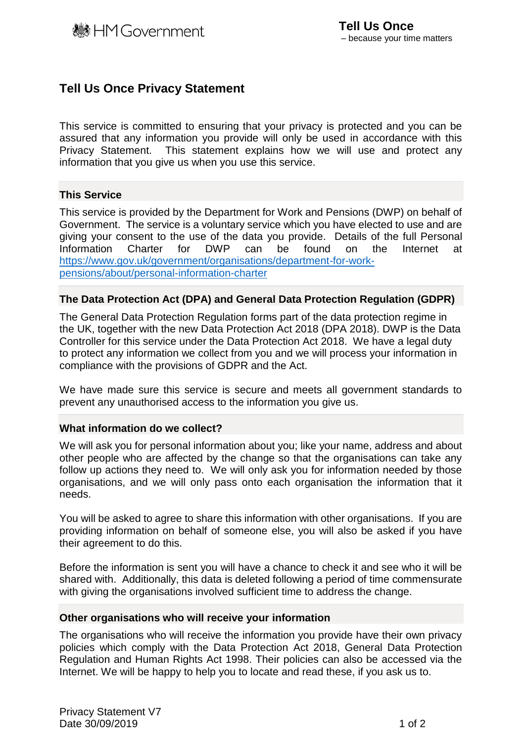## **Tell Us Once Privacy Statement**

This service is committed to ensuring that your privacy is protected and you can be assured that any information you provide will only be used in accordance with this Privacy Statement. This statement explains how we will use and protect any information that you give us when you use this service.

### **This Service**

This service is provided by the Department for Work and Pensions (DWP) on behalf of Government. The service is a voluntary service which you have elected to use and are giving your consent to the use of the data you provide. Details of the full Personal Information Charter for DWP can be found on the Internet at [https://www.gov.uk/government/organisations/department-for-work](https://www.gov.uk/government/organisations/department-for-work-pensions/about/personal-information-charter)[pensions/about/personal-information-charter](https://www.gov.uk/government/organisations/department-for-work-pensions/about/personal-information-charter)

### **The Data Protection Act (DPA) and General Data Protection Regulation (GDPR)**

The General Data Protection Regulation forms part of the data protection regime in the UK, together with the new Data Protection Act 2018 (DPA 2018). DWP is the Data Controller for this service under the Data Protection Act 2018. We have a legal duty to protect any information we collect from you and we will process your information in compliance with the provisions of GDPR and the Act.

We have made sure this service is secure and meets all government standards to prevent any unauthorised access to the information you give us.

#### **What information do we collect?**

We will ask you for personal information about you; like your name, address and about other people who are affected by the change so that the organisations can take any follow up actions they need to. We will only ask you for information needed by those organisations, and we will only pass onto each organisation the information that it needs.

You will be asked to agree to share this information with other organisations. If you are providing information on behalf of someone else, you will also be asked if you have their agreement to do this.

Before the information is sent you will have a chance to check it and see who it will be shared with. Additionally, this data is deleted following a period of time commensurate with giving the organisations involved sufficient time to address the change.

#### **Other organisations who will receive your information**

The organisations who will receive the information you provide have their own privacy policies which comply with the Data Protection Act 2018, General Data Protection Regulation and Human Rights Act 1998. Their policies can also be accessed via the Internet. We will be happy to help you to locate and read these, if you ask us to.